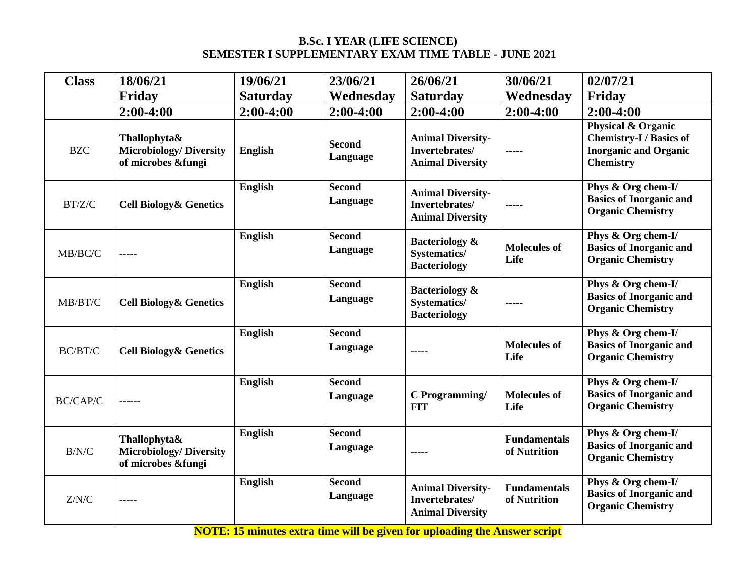#### **B.Sc. I YEAR (LIFE SCIENCE) SEMESTER I SUPPLEMENTARY EXAM TIME TABLE - JUNE 2021**

| <b>Class</b> | 18/06/21                                                             | 19/06/21        | 23/06/21                  | 26/06/21                                                                | 30/06/21                            | 02/07/21                                                                                                            |
|--------------|----------------------------------------------------------------------|-----------------|---------------------------|-------------------------------------------------------------------------|-------------------------------------|---------------------------------------------------------------------------------------------------------------------|
|              | Friday                                                               | <b>Saturday</b> | Wednesday                 | <b>Saturday</b>                                                         | Wednesday                           | Friday                                                                                                              |
|              | $2:00-4:00$                                                          | $2:00-4:00$     | $2:00-4:00$               | $2:00-4:00$                                                             | $2:00-4:00$                         | $2:00-4:00$                                                                                                         |
| <b>BZC</b>   | Thallophyta&<br><b>Microbiology/Diversity</b><br>of microbes &fungi  | English         | <b>Second</b><br>Language | <b>Animal Diversity-</b><br>Invertebrates/<br><b>Animal Diversity</b>   | -----                               | <b>Physical &amp; Organic</b><br><b>Chemistry-I</b> / Basics of<br><b>Inorganic and Organic</b><br><b>Chemistry</b> |
| BT/Z/C       | <b>Cell Biology &amp; Genetics</b>                                   | <b>English</b>  | <b>Second</b><br>Language | <b>Animal Diversity-</b><br>Invertebrates/<br><b>Animal Diversity</b>   | $- - - -$                           | Phys & Org chem-I/<br><b>Basics of Inorganic and</b><br><b>Organic Chemistry</b>                                    |
| MB/BC/C      | -----                                                                | English         | <b>Second</b><br>Language | <b>Bacteriology &amp;</b><br><b>Systematics/</b><br><b>Bacteriology</b> | <b>Molecules of</b><br>Life         | Phys & Org chem-I/<br><b>Basics of Inorganic and</b><br><b>Organic Chemistry</b>                                    |
| MB/BT/C      | <b>Cell Biology &amp; Genetics</b>                                   | <b>English</b>  | <b>Second</b><br>Language | <b>Bacteriology &amp;</b><br><b>Systematics/</b><br><b>Bacteriology</b> | -----                               | Phys & Org chem-I/<br><b>Basics of Inorganic and</b><br><b>Organic Chemistry</b>                                    |
| BC/BT/C      | <b>Cell Biology &amp; Genetics</b>                                   | English         | <b>Second</b><br>Language | -----                                                                   | <b>Molecules of</b><br>Life         | Phys & Org chem-I/<br><b>Basics of Inorganic and</b><br><b>Organic Chemistry</b>                                    |
| BC/CAP/C     |                                                                      | English         | <b>Second</b><br>Language | C Programming/<br><b>FIT</b>                                            | <b>Molecules of</b><br>Life         | Phys & Org chem-I/<br><b>Basics of Inorganic and</b><br><b>Organic Chemistry</b>                                    |
| B/N/C        | Thallophyta&<br><b>Microbiology/ Diversity</b><br>of microbes &fungi | <b>English</b>  | <b>Second</b><br>Language | -----                                                                   | <b>Fundamentals</b><br>of Nutrition | Phys & Org chem-I/<br><b>Basics of Inorganic and</b><br><b>Organic Chemistry</b>                                    |
| Z/N/C        | $\frac{1}{2}$                                                        | English         | <b>Second</b><br>Language | <b>Animal Diversity-</b><br>Invertebrates/<br><b>Animal Diversity</b>   | <b>Fundamentals</b><br>of Nutrition | Phys & Org chem-I/<br><b>Basics of Inorganic and</b><br><b>Organic Chemistry</b>                                    |

**NOTE: 15 minutes extra time will be given for uploading the Answer script**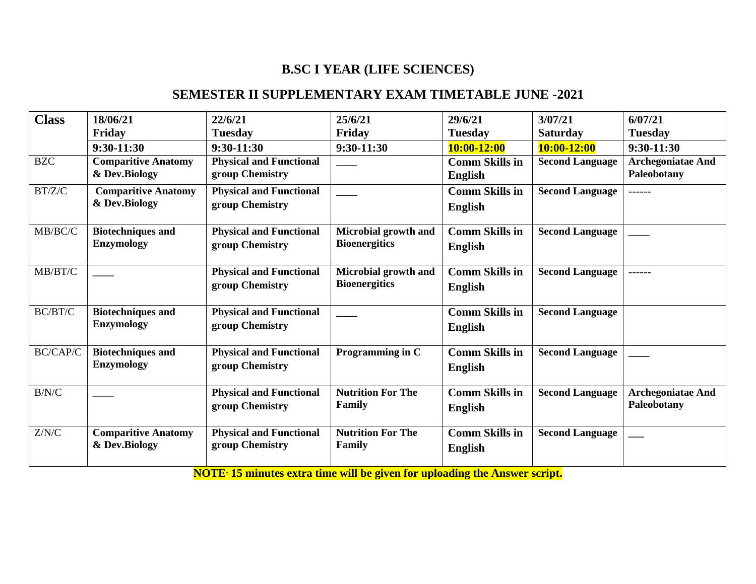# **B.SC I YEAR (LIFE SCIENCES)**

### **SEMESTER II SUPPLEMENTARY EXAM TIMETABLE JUNE -2021**

| <b>Class</b> | 18/06/21                                      | 22/6/21                                           | 25/6/21                                      | 29/6/21                                 | 3/07/21                | 6/07/21                                 |
|--------------|-----------------------------------------------|---------------------------------------------------|----------------------------------------------|-----------------------------------------|------------------------|-----------------------------------------|
|              | Friday                                        | <b>Tuesday</b>                                    | Friday                                       | <b>Tuesday</b>                          | <b>Saturday</b>        | <b>Tuesday</b>                          |
|              | $9:30-11:30$                                  | $9:30-11:30$                                      | $9:30-11:30$                                 | 10:00-12:00                             | 10:00-12:00            | $9:30-11:30$                            |
| <b>BZC</b>   | <b>Comparitive Anatomy</b><br>& Dev.Biology   | <b>Physical and Functional</b><br>group Chemistry |                                              | <b>Comm Skills in</b><br><b>English</b> | <b>Second Language</b> | <b>Archegoniatae And</b><br>Paleobotany |
| BT/Z/C       | <b>Comparitive Anatomy</b><br>& Dev.Biology   | <b>Physical and Functional</b><br>group Chemistry |                                              | <b>Comm Skills in</b><br><b>English</b> | <b>Second Language</b> | ------                                  |
| MB/BC/C      | <b>Biotechniques and</b><br><b>Enzymology</b> | <b>Physical and Functional</b><br>group Chemistry | Microbial growth and<br><b>Bioenergitics</b> | <b>Comm Skills in</b><br><b>English</b> | <b>Second Language</b> |                                         |
| MB/BT/C      |                                               | <b>Physical and Functional</b><br>group Chemistry | Microbial growth and<br><b>Bioenergitics</b> | <b>Comm Skills in</b><br><b>English</b> | <b>Second Language</b> | ------                                  |
| BC/BT/C      | <b>Biotechniques and</b><br><b>Enzymology</b> | <b>Physical and Functional</b><br>group Chemistry |                                              | <b>Comm Skills in</b><br><b>English</b> | <b>Second Language</b> |                                         |
| BC/CAP/C     | <b>Biotechniques and</b><br><b>Enzymology</b> | <b>Physical and Functional</b><br>group Chemistry | Programming in C                             | <b>Comm Skills in</b><br><b>English</b> | <b>Second Language</b> |                                         |
| B/N/C        |                                               | <b>Physical and Functional</b><br>group Chemistry | <b>Nutrition For The</b><br>Family           | <b>Comm Skills in</b><br><b>English</b> | <b>Second Language</b> | <b>Archegoniatae And</b><br>Paleobotany |
| Z/N/C        | <b>Comparitive Anatomy</b><br>& Dev.Biology   | <b>Physical and Functional</b><br>group Chemistry | <b>Nutrition For The</b><br>Family           | <b>Comm Skills in</b><br><b>English</b> | <b>Second Language</b> |                                         |

**NOTE\* 15 minutes extra time will be given for uploading the Answer script.**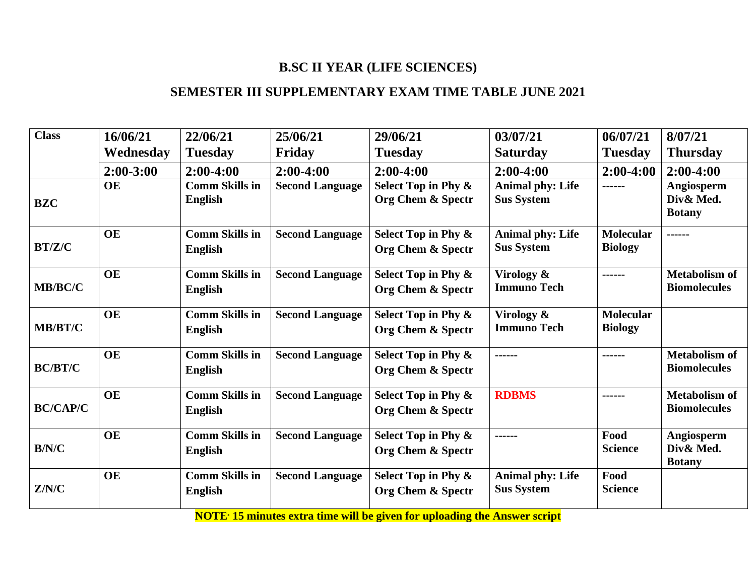# **B.SC II YEAR (LIFE SCIENCES)**

### **SEMESTER III SUPPLEMENTARY EXAM TIME TABLE JUNE 2021**

| <b>Class</b>    | 16/06/21      | 22/06/21                                | 25/06/21               | 29/06/21                                            | 03/07/21                                     | 06/07/21                           | 8/07/21                                     |
|-----------------|---------------|-----------------------------------------|------------------------|-----------------------------------------------------|----------------------------------------------|------------------------------------|---------------------------------------------|
|                 | Wednesday     | <b>Tuesday</b>                          | Friday                 | <b>Tuesday</b>                                      | <b>Saturday</b>                              | <b>Tuesday</b>                     | <b>Thursday</b>                             |
|                 | $2:00 - 3:00$ | $2:00-4:00$                             | $2:00-4:00$            | $2:00-4:00$                                         | $2:00-4:00$                                  | $2:00-4:00$                        | $2:00-4:00$                                 |
| <b>BZC</b>      | <b>OE</b>     | <b>Comm Skills in</b><br>English        | <b>Second Language</b> | Select Top in Phy &<br>Org Chem & Spectr            | <b>Animal phy: Life</b><br><b>Sus System</b> | ------                             | Angiosperm<br>Div& Med.<br><b>Botany</b>    |
| BT/Z/C          | <b>OE</b>     | <b>Comm Skills in</b><br><b>English</b> | <b>Second Language</b> | Select Top in Phy &<br>Org Chem & Spectr            | <b>Animal phy: Life</b><br><b>Sus System</b> | <b>Molecular</b><br><b>Biology</b> | ------                                      |
| MB/BC/C         | <b>OE</b>     | <b>Comm Skills in</b><br><b>English</b> | <b>Second Language</b> | Select Top in Phy &<br>Org Chem & Spectr            | Virology &<br><b>Immuno Tech</b>             | ------                             | <b>Metabolism of</b><br><b>Biomolecules</b> |
| MB/BT/C         | <b>OE</b>     | <b>Comm Skills in</b><br><b>English</b> | <b>Second Language</b> | Select Top in Phy &<br><b>Org Chem &amp; Spectr</b> | Virology &<br><b>Immuno Tech</b>             | <b>Molecular</b><br><b>Biology</b> |                                             |
| <b>BC/BT/C</b>  | <b>OE</b>     | <b>Comm Skills in</b><br><b>English</b> | <b>Second Language</b> | Select Top in Phy &<br>Org Chem & Spectr            | ------                                       | ------                             | <b>Metabolism of</b><br><b>Biomolecules</b> |
| <b>BC/CAP/C</b> | <b>OE</b>     | <b>Comm Skills in</b><br><b>English</b> | <b>Second Language</b> | Select Top in Phy &<br>Org Chem & Spectr            | <b>RDBMS</b>                                 | ------                             | <b>Metabolism of</b><br><b>Biomolecules</b> |
| B/N/C           | <b>OE</b>     | <b>Comm Skills in</b><br><b>English</b> | <b>Second Language</b> | Select Top in Phy &<br>Org Chem & Spectr            | ------                                       | Food<br><b>Science</b>             | Angiosperm<br>Div& Med.<br><b>Botany</b>    |
| Z/N/C           | <b>OE</b>     | <b>Comm Skills in</b><br><b>English</b> | <b>Second Language</b> | Select Top in Phy &<br>Org Chem & Spectr            | <b>Animal phy: Life</b><br><b>Sus System</b> | Food<br><b>Science</b>             |                                             |

**NOTE\* 15 minutes extra time will be given for uploading the Answer script**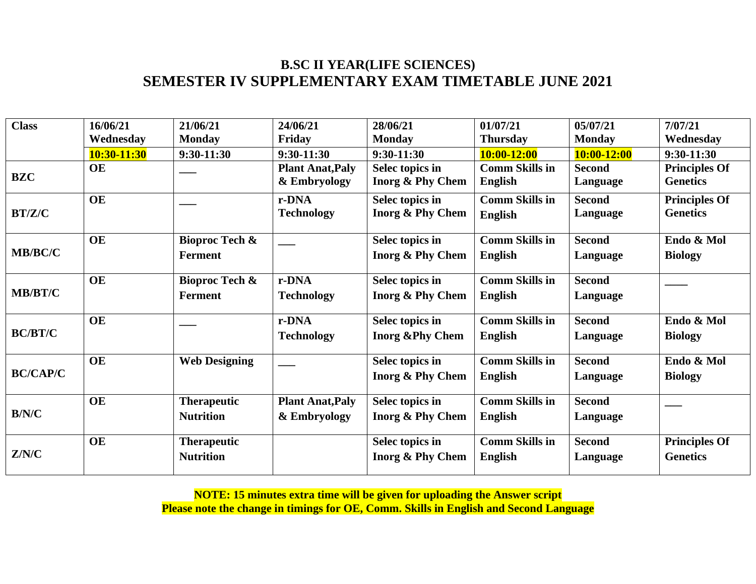## **B.SC II YEAR(LIFE SCIENCES) SEMESTER IV SUPPLEMENTARY EXAM TIMETABLE JUNE 2021**

| <b>Class</b>    | 16/06/21    | 21/06/21                  | 24/06/21                | 28/06/21                    | 01/07/21              | 05/07/21        | 7/07/21              |
|-----------------|-------------|---------------------------|-------------------------|-----------------------------|-----------------------|-----------------|----------------------|
|                 | Wednesday   | <b>Monday</b>             | Friday                  | <b>Monday</b>               | <b>Thursday</b>       | <b>Monday</b>   | Wednesday            |
|                 | 10:30-11:30 | $9:30-11:30$              | $9:30-11:30$            | $9:30-11:30$                | 10:00-12:00           | $10:00 - 12:00$ | $9:30-11:30$         |
|                 | <b>OE</b>   |                           | <b>Plant Anat, Paly</b> | Selec topics in             | <b>Comm Skills in</b> | <b>Second</b>   | <b>Principles Of</b> |
| <b>BZC</b>      |             |                           | & Embryology            | Inorg & Phy Chem            | <b>English</b>        | Language        | <b>Genetics</b>      |
|                 | <b>OE</b>   |                           | r-DNA                   | Selec topics in             | <b>Comm Skills in</b> | <b>Second</b>   | <b>Principles Of</b> |
| BT/Z/C          |             |                           | <b>Technology</b>       | Inorg & Phy Chem            | <b>English</b>        | Language        | <b>Genetics</b>      |
|                 | <b>OE</b>   | <b>Bioproc Tech &amp;</b> |                         | Selec topics in             | <b>Comm Skills in</b> | <b>Second</b>   | Endo & Mol           |
| MB/BC/C         |             | <b>Ferment</b>            |                         | <b>Inorg &amp; Phy Chem</b> | <b>English</b>        | Language        | <b>Biology</b>       |
|                 | <b>OE</b>   | <b>Bioproc Tech &amp;</b> | r-DNA                   | Selec topics in             | <b>Comm Skills in</b> | <b>Second</b>   |                      |
| MB/BT/C         |             | <b>Ferment</b>            | <b>Technology</b>       | Inorg & Phy Chem            | <b>English</b>        | Language        |                      |
|                 | <b>OE</b>   |                           | r-DNA                   | Selec topics in             | <b>Comm Skills in</b> | <b>Second</b>   | Endo & Mol           |
| <b>BC/BT/C</b>  |             |                           | <b>Technology</b>       | <b>Inorg &amp;Phy Chem</b>  | <b>English</b>        | Language        | <b>Biology</b>       |
|                 | <b>OE</b>   | <b>Web Designing</b>      |                         | Selec topics in             | <b>Comm Skills in</b> | <b>Second</b>   | Endo & Mol           |
| <b>BC/CAP/C</b> |             |                           |                         | Inorg & Phy Chem            | <b>English</b>        | Language        | <b>Biology</b>       |
|                 | <b>OE</b>   | <b>Therapeutic</b>        | <b>Plant Anat, Paly</b> | Selec topics in             | <b>Comm Skills in</b> | <b>Second</b>   |                      |
| B/N/C           |             | <b>Nutrition</b>          | & Embryology            | Inorg & Phy Chem            | <b>English</b>        | Language        |                      |
|                 | <b>OE</b>   | <b>Therapeutic</b>        |                         | Selec topics in             | <b>Comm Skills in</b> | <b>Second</b>   | <b>Principles Of</b> |
| Z/N/C           |             | <b>Nutrition</b>          |                         | Inorg & Phy Chem            | <b>English</b>        | Language        | <b>Genetics</b>      |

**NOTE: 15 minutes extra time will be given for uploading the Answer script Please note the change in timings for OE, Comm. Skills in English and Second Language**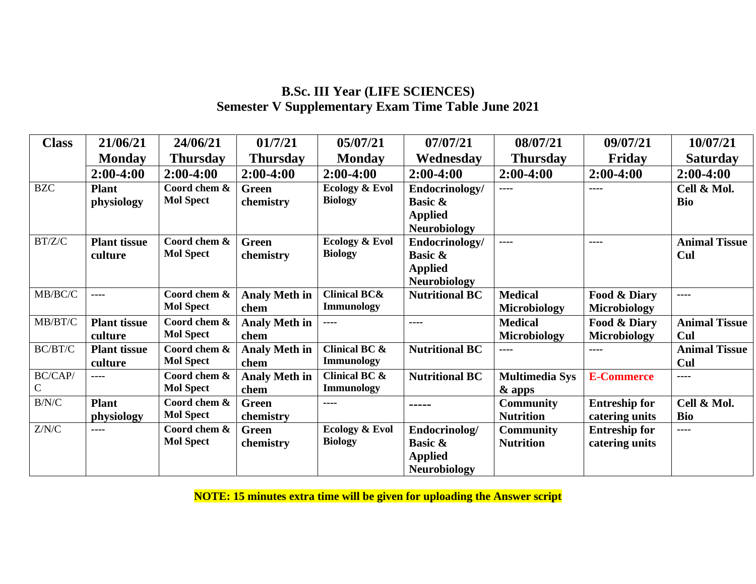## **B.Sc. III Year (LIFE SCIENCES) Semester V Supplementary Exam Time Table June 2021**

| <b>Class</b> | 21/06/21            | 24/06/21         | 01/7/21              | 05/07/21                | 07/07/21              | 08/07/21              | 09/07/21             | 10/07/21             |
|--------------|---------------------|------------------|----------------------|-------------------------|-----------------------|-----------------------|----------------------|----------------------|
|              | <b>Monday</b>       | <b>Thursday</b>  | <b>Thursday</b>      | <b>Monday</b>           | Wednesday             | <b>Thursday</b>       | Friday               | <b>Saturday</b>      |
|              | $2:00-4:00$         | $2:00-4:00$      | $2:00-4:00$          | $2:00-4:00$             | $2:00-4:00$           | $2:00-4:00$           | $2:00-4:00$          | $2:00-4:00$          |
| <b>BZC</b>   | <b>Plant</b>        | Coord chem &     | <b>Green</b>         | Ecology & Evol          | Endocrinology/        | $---$                 | ----                 | Cell & Mol.          |
|              | physiology          | <b>Mol Spect</b> | chemistry            | <b>Biology</b>          | <b>Basic &amp;</b>    |                       |                      | <b>Bio</b>           |
|              |                     |                  |                      |                         | <b>Applied</b>        |                       |                      |                      |
|              |                     |                  |                      |                         | <b>Neurobiology</b>   |                       |                      |                      |
| BT/Z/C       | <b>Plant tissue</b> | Coord chem &     | <b>Green</b>         | Ecology & Evol          | Endocrinology/        | $---$                 | $- - - -$            | <b>Animal Tissue</b> |
|              | culture             | <b>Mol Spect</b> | chemistry            | <b>Biology</b>          | <b>Basic &amp;</b>    |                       |                      | Cul                  |
|              |                     |                  |                      |                         | <b>Applied</b>        |                       |                      |                      |
|              |                     |                  |                      |                         | <b>Neurobiology</b>   |                       |                      |                      |
| MB/BC/C      | ----                | Coord chem &     | <b>Analy Meth in</b> | <b>Clinical BC&amp;</b> | <b>Nutritional BC</b> | <b>Medical</b>        | Food & Diary         | $- - - -$            |
|              |                     | <b>Mol Spect</b> | chem                 | <b>Immunology</b>       |                       | <b>Microbiology</b>   | <b>Microbiology</b>  |                      |
| MB/BT/C      | <b>Plant tissue</b> | Coord chem &     | <b>Analy Meth in</b> | ----                    | ----                  | <b>Medical</b>        | Food & Diary         | <b>Animal Tissue</b> |
|              | culture             | <b>Mol Spect</b> | chem                 |                         |                       | Microbiology          | <b>Microbiology</b>  | Cul                  |
| BC/BT/C      | <b>Plant tissue</b> | Coord chem &     | <b>Analy Meth in</b> | Clinical BC &           | <b>Nutritional BC</b> | ----                  | ----                 | <b>Animal Tissue</b> |
|              | culture             | <b>Mol Spect</b> | chem                 | <b>Immunology</b>       |                       |                       |                      | Cul                  |
| BC/CAP/      | $- - - -$           | Coord chem &     | <b>Analy Meth in</b> | Clinical BC &           | <b>Nutritional BC</b> | <b>Multimedia Sys</b> | <b>E-Commerce</b>    | ----                 |
| C            |                     | <b>Mol Spect</b> | chem                 | <b>Immunology</b>       |                       | & apps                |                      |                      |
| B/N/C        | <b>Plant</b>        | Coord chem &     | <b>Green</b>         | ----                    | -----                 | <b>Community</b>      | <b>Entreship for</b> | Cell & Mol.          |
|              | physiology          | <b>Mol Spect</b> | chemistry            |                         |                       | <b>Nutrition</b>      | catering units       | <b>Bio</b>           |
| Z/N/C        | ----                | Coord chem &     | <b>Green</b>         | Ecology & Evol          | Endocrinolog/         | <b>Community</b>      | <b>Entreship for</b> | ----                 |
|              |                     | <b>Mol Spect</b> | chemistry            | <b>Biology</b>          | <b>Basic &amp;</b>    | <b>Nutrition</b>      | catering units       |                      |
|              |                     |                  |                      |                         | <b>Applied</b>        |                       |                      |                      |
|              |                     |                  |                      |                         | <b>Neurobiology</b>   |                       |                      |                      |

**NOTE: 15 minutes extra time will be given for uploading the Answer script**